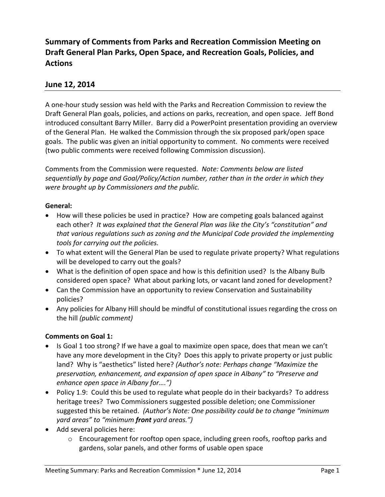# **Summary of Comments from Parks and Recreation Commission Meeting on Draft General Plan Parks, Open Space, and Recreation Goals, Policies, and Actions**

# **June 12, 2014**

A one-hour study session was held with the Parks and Recreation Commission to review the Draft General Plan goals, policies, and actions on parks, recreation, and open space. Jeff Bond introduced consultant Barry Miller. Barry did a PowerPoint presentation providing an overview of the General Plan. He walked the Commission through the six proposed park/open space goals. The public was given an initial opportunity to comment. No comments were received (two public comments were received following Commission discussion).

Comments from the Commission were requested. *Note: Comments below are listed sequentially by page and Goal/Policy/Action number, rather than in the order in which they were brought up by Commissioners and the public.*

### **General:**

- How will these policies be used in practice? How are competing goals balanced against each other? *It was explained that the General Plan was like the City's "constitution" and that various regulations such as zoning and the Municipal Code provided the implementing tools for carrying out the policies.*
- To what extent will the General Plan be used to regulate private property? What regulations will be developed to carry out the goals?
- What is the definition of open space and how is this definition used? Is the Albany Bulb considered open space? What about parking lots, or vacant land zoned for development?
- Can the Commission have an opportunity to review Conservation and Sustainability policies?
- Any policies for Albany Hill should be mindful of constitutional issues regarding the cross on the hill *(public comment)*

### **Comments on Goal 1:**

- Is Goal 1 too strong? If we have a goal to maximize open space, does that mean we can't have any more development in the City? Does this apply to private property or just public land? Why is "aesthetics" listed here? *(Author's note: Perhaps change "Maximize the preservation, enhancement, and expansion of open space in Albany" to "Preserve and enhance open space in Albany for….")*
- Policy 1.9: Could this be used to regulate what people do in their backyards? To address heritage trees? Two Commissioners suggested possible deletion; one Commissioner suggested this be retained. *(Author's Note: One possibility could be to change "minimum yard areas" to "minimum front yard areas.")*
- Add several policies here:
	- $\circ$  Encouragement for rooftop open space, including green roofs, rooftop parks and gardens, solar panels, and other forms of usable open space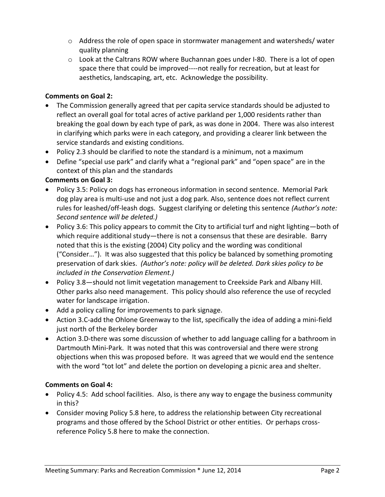- o Address the role of open space in stormwater management and watersheds/ water quality planning
- $\circ$  Look at the Caltrans ROW where Buchannan goes under I-80. There is a lot of open space there that could be improved----not really for recreation, but at least for aesthetics, landscaping, art, etc. Acknowledge the possibility.

## **Comments on Goal 2:**

- The Commission generally agreed that per capita service standards should be adjusted to reflect an overall goal for total acres of active parkland per 1,000 residents rather than breaking the goal down by each type of park, as was done in 2004. There was also interest in clarifying which parks were in each category, and providing a clearer link between the service standards and existing conditions.
- Policy 2.3 should be clarified to note the standard is a minimum, not a maximum
- Define "special use park" and clarify what a "regional park" and "open space" are in the context of this plan and the standards

# **Comments on Goal 3:**

- Policy 3.5: Policy on dogs has erroneous information in second sentence. Memorial Park dog play area is multi-use and not just a dog park. Also, sentence does not reflect current rules for leashed/off-leash dogs. Suggest clarifying or deleting this sentence *(Author's note: Second sentence will be deleted.)*
- Policy 3.6: This policy appears to commit the City to artificial turf and night lighting—both of which require additional study—there is not a consensus that these are desirable. Barry noted that this is the existing (2004) City policy and the wording was conditional ("Consider…"). It was also suggested that this policy be balanced by something promoting preservation of dark skies. *(Author's note: policy will be deleted. Dark skies policy to be included in the Conservation Element.)*
- Policy 3.8—should not limit vegetation management to Creekside Park and Albany Hill. Other parks also need management. This policy should also reference the use of recycled water for landscape irrigation.
- Add a policy calling for improvements to park signage.
- Action 3.C-add the Ohlone Greenway to the list, specifically the idea of adding a mini-field just north of the Berkeley border
- Action 3.D-there was some discussion of whether to add language calling for a bathroom in Dartmouth Mini-Park. It was noted that this was controversial and there were strong objections when this was proposed before. It was agreed that we would end the sentence with the word "tot lot" and delete the portion on developing a picnic area and shelter.

# **Comments on Goal 4:**

- Policy 4.5: Add school facilities. Also, is there any way to engage the business community in this?
- Consider moving Policy 5.8 here, to address the relationship between City recreational programs and those offered by the School District or other entities. Or perhaps crossreference Policy 5.8 here to make the connection.